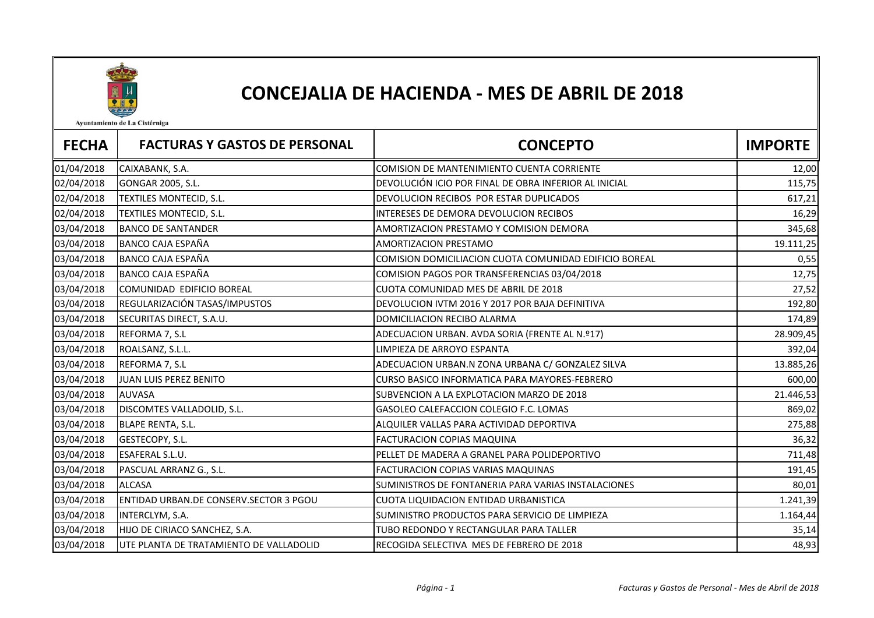

## CONCEJALIA DE HACIENDA - MES DE ABRIL DE 2018

Ayuntamiento de La Cistérniga

| <b>FECHA</b> | <b>FACTURAS Y GASTOS DE PERSONAL</b>    | <b>CONCEPTO</b>                                        | <b>IMPORTE</b> |
|--------------|-----------------------------------------|--------------------------------------------------------|----------------|
| 01/04/2018   | CAIXABANK, S.A.                         | COMISION DE MANTENIMIENTO CUENTA CORRIENTE             | 12,00          |
| 02/04/2018   | GONGAR 2005, S.L.                       | DEVOLUCIÓN ICIO POR FINAL DE OBRA INFERIOR AL INICIAL  | 115,75         |
| 02/04/2018   | TEXTILES MONTECID, S.L.                 | DEVOLUCION RECIBOS POR ESTAR DUPLICADOS                | 617,21         |
| 02/04/2018   | TEXTILES MONTECID, S.L.                 | INTERESES DE DEMORA DEVOLUCION RECIBOS                 | 16,29          |
| 03/04/2018   | <b>BANCO DE SANTANDER</b>               | AMORTIZACION PRESTAMO Y COMISION DEMORA                | 345,68         |
| 03/04/2018   | <b>BANCO CAJA ESPAÑA</b>                | <b>AMORTIZACION PRESTAMO</b>                           | 19.111,25      |
| 03/04/2018   | BANCO CAJA ESPAÑA                       | COMISION DOMICILIACION CUOTA COMUNIDAD EDIFICIO BOREAL | 0,55           |
| 03/04/2018   | BANCO CAJA ESPAÑA                       | COMISION PAGOS POR TRANSFERENCIAS 03/04/2018           | 12,75          |
| 03/04/2018   | COMUNIDAD EDIFICIO BOREAL               | CUOTA COMUNIDAD MES DE ABRIL DE 2018                   | 27,52          |
| 03/04/2018   | REGULARIZACIÓN TASAS/IMPUSTOS           | DEVOLUCION IVTM 2016 Y 2017 POR BAJA DEFINITIVA        | 192,80         |
| 03/04/2018   | SECURITAS DIRECT, S.A.U.                | DOMICILIACION RECIBO ALARMA                            | 174,89         |
| 03/04/2018   | REFORMA 7, S.L                          | ADECUACION URBAN. AVDA SORIA (FRENTE AL N.º17)         | 28.909,45      |
| 03/04/2018   | ROALSANZ, S.L.L.                        | LIMPIEZA DE ARROYO ESPANTA                             | 392,04         |
| 03/04/2018   | REFORMA 7, S.L                          | ADECUACION URBAN.N ZONA URBANA C/ GONZALEZ SILVA       | 13.885,26      |
| 03/04/2018   | JUAN LUIS PEREZ BENITO                  | CURSO BASICO INFORMATICA PARA MAYORES-FEBRERO          | 600,00         |
| 03/04/2018   | <b>AUVASA</b>                           | SUBVENCION A LA EXPLOTACION MARZO DE 2018              | 21.446,53      |
| 03/04/2018   | DISCOMTES VALLADOLID, S.L.              | GASOLEO CALEFACCION COLEGIO F.C. LOMAS                 | 869,02         |
| 03/04/2018   | <b>BLAPE RENTA, S.L.</b>                | ALQUILER VALLAS PARA ACTIVIDAD DEPORTIVA               | 275,88         |
| 03/04/2018   | GESTECOPY, S.L.                         | FACTURACION COPIAS MAQUINA                             | 36,32          |
| 03/04/2018   | <b>ESAFERAL S.L.U.</b>                  | PELLET DE MADERA A GRANEL PARA POLIDEPORTIVO           | 711,48         |
| 03/04/2018   | PASCUAL ARRANZ G., S.L.                 | FACTURACION COPIAS VARIAS MAQUINAS                     | 191,45         |
| 03/04/2018   | <b>ALCASA</b>                           | SUMINISTROS DE FONTANERIA PARA VARIAS INSTALACIONES    | 80,01          |
| 03/04/2018   | ENTIDAD URBAN.DE CONSERV.SECTOR 3 PGOU  | CUOTA LIQUIDACION ENTIDAD URBANISTICA                  | 1.241,39       |
| 03/04/2018   | INTERCLYM, S.A.                         | SUMINISTRO PRODUCTOS PARA SERVICIO DE LIMPIEZA         | 1.164,44       |
| 03/04/2018   | HIJO DE CIRIACO SANCHEZ, S.A.           | TUBO REDONDO Y RECTANGULAR PARA TALLER                 | 35,14          |
| 03/04/2018   | UTE PLANTA DE TRATAMIENTO DE VALLADOLID | RECOGIDA SELECTIVA MES DE FEBRERO DE 2018              | 48,93          |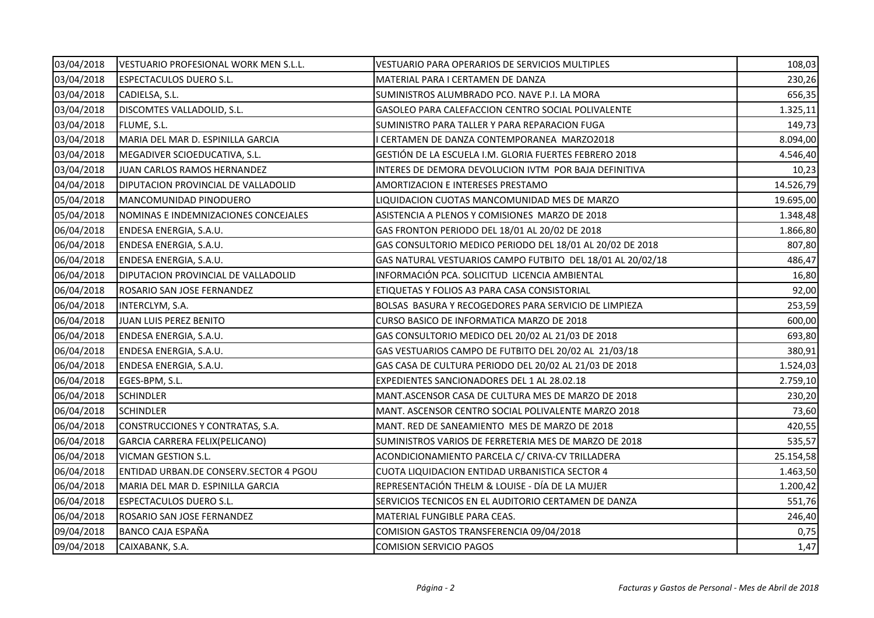| 03/04/2018 | VESTUARIO PROFESIONAL WORK MEN S.L.L.  | VESTUARIO PARA OPERARIOS DE SERVICIOS MULTIPLES            | 108,03    |
|------------|----------------------------------------|------------------------------------------------------------|-----------|
| 03/04/2018 | <b>ESPECTACULOS DUERO S.L.</b>         | MATERIAL PARA I CERTAMEN DE DANZA                          | 230,26    |
| 03/04/2018 | CADIELSA, S.L.                         | SUMINISTROS ALUMBRADO PCO. NAVE P.I. LA MORA               | 656,35    |
| 03/04/2018 | DISCOMTES VALLADOLID, S.L.             | GASOLEO PARA CALEFACCION CENTRO SOCIAL POLIVALENTE         | 1.325,11  |
| 03/04/2018 | FLUME, S.L.                            | SUMINISTRO PARA TALLER Y PARA REPARACION FUGA              | 149,73    |
| 03/04/2018 | MARIA DEL MAR D. ESPINILLA GARCIA      | I CERTAMEN DE DANZA CONTEMPORANEA MARZO2018                | 8.094,00  |
| 03/04/2018 | MEGADIVER SCIOEDUCATIVA, S.L.          | GESTIÓN DE LA ESCUELA I.M. GLORIA FUERTES FEBRERO 2018     | 4.546,40  |
| 03/04/2018 | JUAN CARLOS RAMOS HERNANDEZ            | INTERES DE DEMORA DEVOLUCION IVTM POR BAJA DEFINITIVA      | 10,23     |
| 04/04/2018 | DIPUTACION PROVINCIAL DE VALLADOLID    | AMORTIZACION E INTERESES PRESTAMO                          | 14.526,79 |
| 05/04/2018 | MANCOMUNIDAD PINODUERO                 | LIQUIDACION CUOTAS MANCOMUNIDAD MES DE MARZO               | 19.695,00 |
| 05/04/2018 | NOMINAS E INDEMNIZACIONES CONCEJALES   | ASISTENCIA A PLENOS Y COMISIONES MARZO DE 2018             | 1.348,48  |
| 06/04/2018 | ENDESA ENERGIA, S.A.U.                 | GAS FRONTON PERIODO DEL 18/01 AL 20/02 DE 2018             | 1.866,80  |
| 06/04/2018 | ENDESA ENERGIA, S.A.U.                 | GAS CONSULTORIO MEDICO PERIODO DEL 18/01 AL 20/02 DE 2018  | 807,80    |
| 06/04/2018 | ENDESA ENERGIA, S.A.U.                 | GAS NATURAL VESTUARIOS CAMPO FUTBITO DEL 18/01 AL 20/02/18 | 486,47    |
| 06/04/2018 | DIPUTACION PROVINCIAL DE VALLADOLID    | INFORMACIÓN PCA. SOLICITUD LICENCIA AMBIENTAL              | 16,80     |
| 06/04/2018 | ROSARIO SAN JOSE FERNANDEZ             | ETIQUETAS Y FOLIOS A3 PARA CASA CONSISTORIAL               | 92,00     |
| 06/04/2018 | INTERCLYM, S.A.                        | BOLSAS BASURA Y RECOGEDORES PARA SERVICIO DE LIMPIEZA      | 253,59    |
| 06/04/2018 | JUAN LUIS PEREZ BENITO                 | CURSO BASICO DE INFORMATICA MARZO DE 2018                  | 600,00    |
| 06/04/2018 | ENDESA ENERGIA, S.A.U.                 | GAS CONSULTORIO MEDICO DEL 20/02 AL 21/03 DE 2018          | 693,80    |
| 06/04/2018 | ENDESA ENERGIA, S.A.U.                 | GAS VESTUARIOS CAMPO DE FUTBITO DEL 20/02 AL 21/03/18      | 380,91    |
| 06/04/2018 | ENDESA ENERGIA, S.A.U.                 | GAS CASA DE CULTURA PERIODO DEL 20/02 AL 21/03 DE 2018     | 1.524,03  |
| 06/04/2018 | EGES-BPM, S.L.                         | EXPEDIENTES SANCIONADORES DEL 1 AL 28.02.18                | 2.759,10  |
| 06/04/2018 | <b>SCHINDLER</b>                       | MANT.ASCENSOR CASA DE CULTURA MES DE MARZO DE 2018         | 230,20    |
| 06/04/2018 | <b>SCHINDLER</b>                       | MANT. ASCENSOR CENTRO SOCIAL POLIVALENTE MARZO 2018        | 73,60     |
| 06/04/2018 | CONSTRUCCIONES Y CONTRATAS, S.A.       | MANT. RED DE SANEAMIENTO MES DE MARZO DE 2018              | 420,55    |
| 06/04/2018 | GARCIA CARRERA FELIX(PELICANO)         | SUMINISTROS VARIOS DE FERRETERIA MES DE MARZO DE 2018      | 535,57    |
| 06/04/2018 | <b>VICMAN GESTION S.L.</b>             | ACONDICIONAMIENTO PARCELA C/ CRIVA-CV TRILLADERA           | 25.154,58 |
| 06/04/2018 | ENTIDAD URBAN.DE CONSERV.SECTOR 4 PGOU | CUOTA LIQUIDACION ENTIDAD URBANISTICA SECTOR 4             | 1.463,50  |
| 06/04/2018 | MARIA DEL MAR D. ESPINILLA GARCIA      | REPRESENTACIÓN THELM & LOUISE - DÍA DE LA MUJER            | 1.200,42  |
| 06/04/2018 | <b>ESPECTACULOS DUERO S.L.</b>         | SERVICIOS TECNICOS EN EL AUDITORIO CERTAMEN DE DANZA       | 551,76    |
| 06/04/2018 | ROSARIO SAN JOSE FERNANDEZ             | MATERIAL FUNGIBLE PARA CEAS.                               | 246,40    |
| 09/04/2018 | BANCO CAJA ESPAÑA                      | COMISION GASTOS TRANSFERENCIA 09/04/2018                   | 0,75      |
| 09/04/2018 | CAIXABANK, S.A.                        | <b>COMISION SERVICIO PAGOS</b>                             | 1,47      |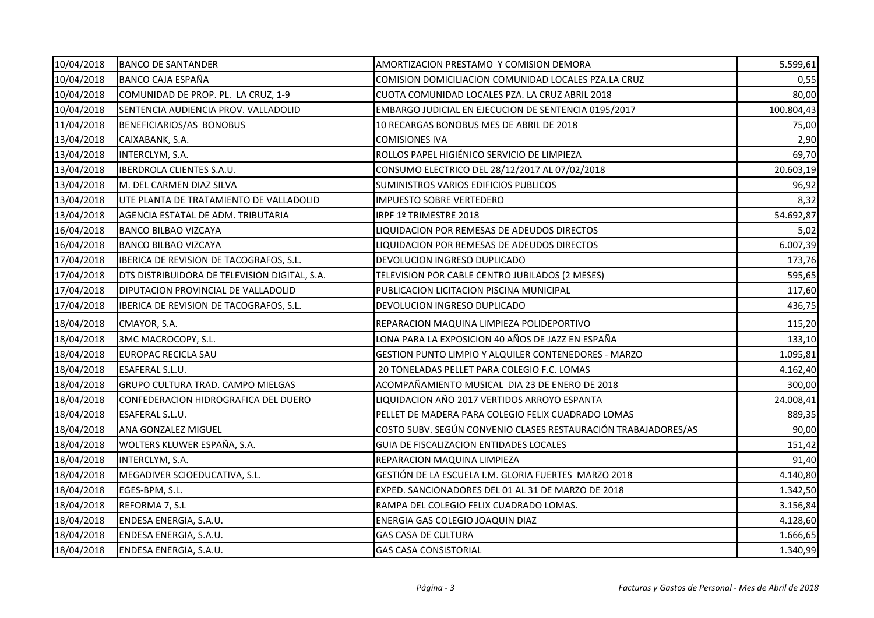| 10/04/2018 | <b>BANCO DE SANTANDER</b>                     | AMORTIZACION PRESTAMO Y COMISION DEMORA                        | 5.599,61   |
|------------|-----------------------------------------------|----------------------------------------------------------------|------------|
| 10/04/2018 | <b>BANCO CAJA ESPAÑA</b>                      | COMISION DOMICILIACION COMUNIDAD LOCALES PZA.LA CRUZ           | 0,55       |
| 10/04/2018 | COMUNIDAD DE PROP. PL. LA CRUZ, 1-9           | CUOTA COMUNIDAD LOCALES PZA. LA CRUZ ABRIL 2018                | 80,00      |
| 10/04/2018 | SENTENCIA AUDIENCIA PROV. VALLADOLID          | EMBARGO JUDICIAL EN EJECUCION DE SENTENCIA 0195/2017           | 100.804,43 |
| 11/04/2018 | BENEFICIARIOS/AS BONOBUS                      | 10 RECARGAS BONOBUS MES DE ABRIL DE 2018                       | 75,00      |
| 13/04/2018 | CAIXABANK, S.A.                               | <b>COMISIONES IVA</b>                                          | 2,90       |
| 13/04/2018 | INTERCLYM, S.A.                               | ROLLOS PAPEL HIGIÉNICO SERVICIO DE LIMPIEZA                    | 69,70      |
| 13/04/2018 | <b>IBERDROLA CLIENTES S.A.U.</b>              | CONSUMO ELECTRICO DEL 28/12/2017 AL 07/02/2018                 | 20.603,19  |
| 13/04/2018 | M. DEL CARMEN DIAZ SILVA                      | SUMINISTROS VARIOS EDIFICIOS PUBLICOS                          | 96,92      |
| 13/04/2018 | UTE PLANTA DE TRATAMIENTO DE VALLADOLID       | <b>IMPUESTO SOBRE VERTEDERO</b>                                | 8,32       |
| 13/04/2018 | AGENCIA ESTATAL DE ADM. TRIBUTARIA            | IRPF 1º TRIMESTRE 2018                                         | 54.692,87  |
| 16/04/2018 | <b>BANCO BILBAO VIZCAYA</b>                   | LIQUIDACION POR REMESAS DE ADEUDOS DIRECTOS                    | 5,02       |
| 16/04/2018 | <b>BANCO BILBAO VIZCAYA</b>                   | LIQUIDACION POR REMESAS DE ADEUDOS DIRECTOS                    | 6.007,39   |
| 17/04/2018 | IBERICA DE REVISION DE TACOGRAFOS, S.L.       | DEVOLUCION INGRESO DUPLICADO                                   | 173,76     |
| 17/04/2018 | DTS DISTRIBUIDORA DE TELEVISION DIGITAL, S.A. | TELEVISION POR CABLE CENTRO JUBILADOS (2 MESES)                | 595,65     |
| 17/04/2018 | DIPUTACION PROVINCIAL DE VALLADOLID           | PUBLICACION LICITACION PISCINA MUNICIPAL                       | 117,60     |
| 17/04/2018 | IBERICA DE REVISION DE TACOGRAFOS, S.L.       | DEVOLUCION INGRESO DUPLICADO                                   | 436,75     |
| 18/04/2018 | CMAYOR, S.A.                                  | REPARACION MAQUINA LIMPIEZA POLIDEPORTIVO                      | 115,20     |
| 18/04/2018 | 3MC MACROCOPY, S.L.                           | LONA PARA LA EXPOSICION 40 AÑOS DE JAZZ EN ESPAÑA              | 133,10     |
| 18/04/2018 | EUROPAC RECICLA SAU                           | GESTION PUNTO LIMPIO Y ALQUILER CONTENEDORES - MARZO           | 1.095,81   |
| 18/04/2018 | ESAFERAL S.L.U.                               | 20 TONELADAS PELLET PARA COLEGIO F.C. LOMAS                    | 4.162,40   |
| 18/04/2018 | <b>GRUPO CULTURA TRAD. CAMPO MIELGAS</b>      | ACOMPAÑAMIENTO MUSICAL DIA 23 DE ENERO DE 2018                 | 300,00     |
| 18/04/2018 | CONFEDERACION HIDROGRAFICA DEL DUERO          | LIQUIDACION AÑO 2017 VERTIDOS ARROYO ESPANTA                   | 24.008,41  |
| 18/04/2018 | ESAFERAL S.L.U.                               | PELLET DE MADERA PARA COLEGIO FELIX CUADRADO LOMAS             | 889,35     |
| 18/04/2018 | ANA GONZALEZ MIGUEL                           | COSTO SUBV. SEGÚN CONVENIO CLASES RESTAURACIÓN TRABAJADORES/AS | 90,00      |
| 18/04/2018 | WOLTERS KLUWER ESPAÑA, S.A.                   | GUIA DE FISCALIZACION ENTIDADES LOCALES                        | 151,42     |
| 18/04/2018 | INTERCLYM, S.A.                               | REPARACION MAQUINA LIMPIEZA                                    | 91,40      |
| 18/04/2018 | MEGADIVER SCIOEDUCATIVA, S.L.                 | GESTIÓN DE LA ESCUELA I.M. GLORIA FUERTES MARZO 2018           | 4.140,80   |
| 18/04/2018 | EGES-BPM, S.L.                                | EXPED. SANCIONADORES DEL 01 AL 31 DE MARZO DE 2018             | 1.342,50   |
| 18/04/2018 | REFORMA 7, S.L                                | RAMPA DEL COLEGIO FELIX CUADRADO LOMAS.                        | 3.156,84   |
| 18/04/2018 | ENDESA ENERGIA, S.A.U.                        | ENERGIA GAS COLEGIO JOAQUIN DIAZ                               | 4.128,60   |
| 18/04/2018 | ENDESA ENERGIA, S.A.U.                        | <b>GAS CASA DE CULTURA</b>                                     | 1.666,65   |
| 18/04/2018 | ENDESA ENERGIA, S.A.U.                        | <b>GAS CASA CONSISTORIAL</b>                                   | 1.340,99   |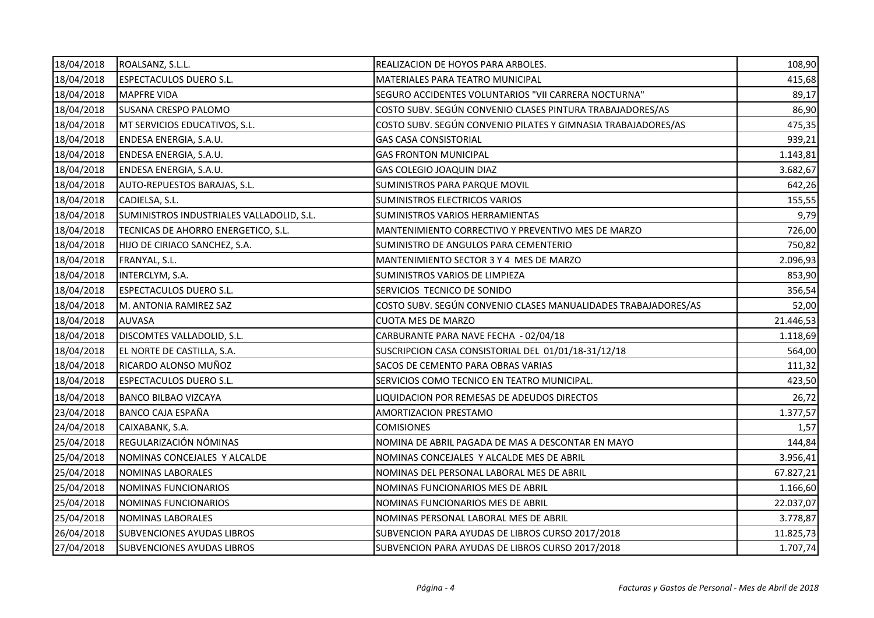| 18/04/2018 | ROALSANZ, S.L.L.                          | REALIZACION DE HOYOS PARA ARBOLES.                             | 108,90    |
|------------|-------------------------------------------|----------------------------------------------------------------|-----------|
| 18/04/2018 | <b>ESPECTACULOS DUERO S.L.</b>            | MATERIALES PARA TEATRO MUNICIPAL                               | 415,68    |
| 18/04/2018 | <b>MAPFRE VIDA</b>                        | SEGURO ACCIDENTES VOLUNTARIOS "VII CARRERA NOCTURNA"           | 89,17     |
| 18/04/2018 | <b>SUSANA CRESPO PALOMO</b>               | COSTO SUBV. SEGÚN CONVENIO CLASES PINTURA TRABAJADORES/AS      | 86,90     |
| 18/04/2018 | MT SERVICIOS EDUCATIVOS, S.L.             | COSTO SUBV. SEGÚN CONVENIO PILATES Y GIMNASIA TRABAJADORES/AS  | 475,35    |
| 18/04/2018 | ENDESA ENERGIA, S.A.U.                    | <b>GAS CASA CONSISTORIAL</b>                                   | 939,21    |
| 18/04/2018 | ENDESA ENERGIA, S.A.U.                    | <b>GAS FRONTON MUNICIPAL</b>                                   | 1.143,81  |
| 18/04/2018 | ENDESA ENERGIA, S.A.U.                    | GAS COLEGIO JOAQUIN DIAZ                                       | 3.682,67  |
| 18/04/2018 | AUTO-REPUESTOS BARAJAS, S.L.              | SUMINISTROS PARA PARQUE MOVIL                                  | 642,26    |
| 18/04/2018 | CADIELSA, S.L.                            | SUMINISTROS ELECTRICOS VARIOS                                  | 155,55    |
| 18/04/2018 | SUMINISTROS INDUSTRIALES VALLADOLID, S.L. | SUMINISTROS VARIOS HERRAMIENTAS                                | 9,79      |
| 18/04/2018 | TECNICAS DE AHORRO ENERGETICO, S.L.       | MANTENIMIENTO CORRECTIVO Y PREVENTIVO MES DE MARZO             | 726,00    |
| 18/04/2018 | HIJO DE CIRIACO SANCHEZ, S.A.             | SUMINISTRO DE ANGULOS PARA CEMENTERIO                          | 750,82    |
| 18/04/2018 | FRANYAL, S.L.                             | MANTENIMIENTO SECTOR 3 Y 4 MES DE MARZO                        | 2.096,93  |
| 18/04/2018 | INTERCLYM, S.A.                           | SUMINISTROS VARIOS DE LIMPIEZA                                 | 853,90    |
| 18/04/2018 | <b>ESPECTACULOS DUERO S.L.</b>            | SERVICIOS TECNICO DE SONIDO                                    | 356,54    |
| 18/04/2018 | M. ANTONIA RAMIREZ SAZ                    | COSTO SUBV. SEGÚN CONVENIO CLASES MANUALIDADES TRABAJADORES/AS | 52,00     |
| 18/04/2018 | <b>AUVASA</b>                             | <b>CUOTA MES DE MARZO</b>                                      | 21.446,53 |
| 18/04/2018 | DISCOMTES VALLADOLID, S.L.                | CARBURANTE PARA NAVE FECHA - 02/04/18                          | 1.118,69  |
| 18/04/2018 | EL NORTE DE CASTILLA, S.A.                | SUSCRIPCION CASA CONSISTORIAL DEL 01/01/18-31/12/18            | 564,00    |
| 18/04/2018 | RICARDO ALONSO MUÑOZ                      | SACOS DE CEMENTO PARA OBRAS VARIAS                             | 111,32    |
| 18/04/2018 | <b>ESPECTACULOS DUERO S.L.</b>            | SERVICIOS COMO TECNICO EN TEATRO MUNICIPAL.                    | 423,50    |
| 18/04/2018 | <b>BANCO BILBAO VIZCAYA</b>               | LIQUIDACION POR REMESAS DE ADEUDOS DIRECTOS                    | 26,72     |
| 23/04/2018 | BANCO CAJA ESPAÑA                         | AMORTIZACION PRESTAMO                                          | 1.377,57  |
| 24/04/2018 | CAIXABANK, S.A.                           | <b>COMISIONES</b>                                              | 1,57      |
| 25/04/2018 | REGULARIZACIÓN NÓMINAS                    | NOMINA DE ABRIL PAGADA DE MAS A DESCONTAR EN MAYO              | 144,84    |
| 25/04/2018 | NOMINAS CONCEJALES Y ALCALDE              | NOMINAS CONCEJALES Y ALCALDE MES DE ABRIL                      | 3.956,41  |
| 25/04/2018 | NOMINAS LABORALES                         | NOMINAS DEL PERSONAL LABORAL MES DE ABRIL                      | 67.827,21 |
| 25/04/2018 | NOMINAS FUNCIONARIOS                      | NOMINAS FUNCIONARIOS MES DE ABRIL                              | 1.166,60  |
| 25/04/2018 | NOMINAS FUNCIONARIOS                      | NOMINAS FUNCIONARIOS MES DE ABRIL                              | 22.037,07 |
| 25/04/2018 | NOMINAS LABORALES                         | NOMINAS PERSONAL LABORAL MES DE ABRIL                          | 3.778,87  |
| 26/04/2018 | SUBVENCIONES AYUDAS LIBROS                | SUBVENCION PARA AYUDAS DE LIBROS CURSO 2017/2018               | 11.825,73 |
| 27/04/2018 | <b>SUBVENCIONES AYUDAS LIBROS</b>         | SUBVENCION PARA AYUDAS DE LIBROS CURSO 2017/2018               | 1.707,74  |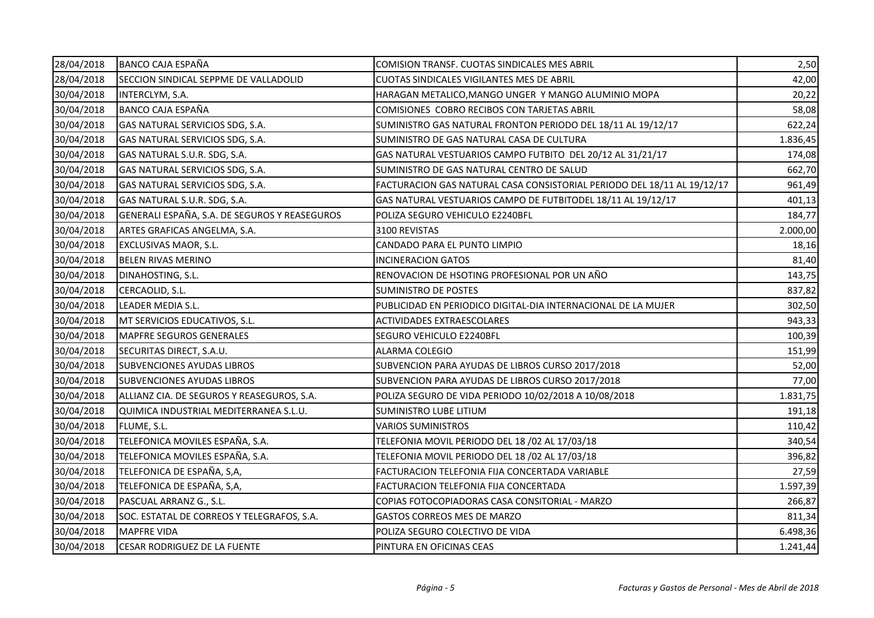| 28/04/2018 | <b>BANCO CAJA ESPAÑA</b>                      | <b>COMISION TRANSF. CUOTAS SINDICALES MES ABRIL</b>                     | 2,50     |
|------------|-----------------------------------------------|-------------------------------------------------------------------------|----------|
| 28/04/2018 | SECCION SINDICAL SEPPME DE VALLADOLID         | <b>CUOTAS SINDICALES VIGILANTES MES DE ABRIL</b>                        | 42,00    |
| 30/04/2018 | INTERCLYM, S.A.                               | HARAGAN METALICO, MANGO UNGER Y MANGO ALUMINIO MOPA                     | 20,22    |
| 30/04/2018 | <b>BANCO CAJA ESPAÑA</b>                      | COMISIONES COBRO RECIBOS CON TARJETAS ABRIL                             | 58,08    |
| 30/04/2018 | GAS NATURAL SERVICIOS SDG, S.A.               | SUMINISTRO GAS NATURAL FRONTON PERIODO DEL 18/11 AL 19/12/17            | 622,24   |
| 30/04/2018 | GAS NATURAL SERVICIOS SDG, S.A.               | SUMINISTRO DE GAS NATURAL CASA DE CULTURA                               | 1.836,45 |
| 30/04/2018 | GAS NATURAL S.U.R. SDG, S.A.                  | GAS NATURAL VESTUARIOS CAMPO FUTBITO DEL 20/12 AL 31/21/17              | 174,08   |
| 30/04/2018 | GAS NATURAL SERVICIOS SDG, S.A.               | SUMINISTRO DE GAS NATURAL CENTRO DE SALUD                               | 662,70   |
| 30/04/2018 | GAS NATURAL SERVICIOS SDG, S.A.               | FACTURACION GAS NATURAL CASA CONSISTORIAL PERIODO DEL 18/11 AL 19/12/17 | 961,49   |
| 30/04/2018 | GAS NATURAL S.U.R. SDG, S.A.                  | GAS NATURAL VESTUARIOS CAMPO DE FUTBITODEL 18/11 AL 19/12/17            | 401,13   |
| 30/04/2018 | GENERALI ESPAÑA, S.A. DE SEGUROS Y REASEGUROS | POLIZA SEGURO VEHICULO E2240BFL                                         | 184,77   |
| 30/04/2018 | ARTES GRAFICAS ANGELMA, S.A.                  | 3100 REVISTAS                                                           | 2.000,00 |
| 30/04/2018 | EXCLUSIVAS MAOR, S.L.                         | CANDADO PARA EL PUNTO LIMPIO                                            | 18,16    |
| 30/04/2018 | <b>BELEN RIVAS MERINO</b>                     | <b>INCINERACION GATOS</b>                                               | 81,40    |
| 30/04/2018 | DINAHOSTING, S.L.                             | RENOVACION DE HSOTING PROFESIONAL POR UN AÑO                            | 143,75   |
| 30/04/2018 | CERCAOLID, S.L.                               | <b>SUMINISTRO DE POSTES</b>                                             | 837,82   |
| 30/04/2018 | LEADER MEDIA S.L.                             | PUBLICIDAD EN PERIODICO DIGITAL-DIA INTERNACIONAL DE LA MUJER           | 302,50   |
| 30/04/2018 | MT SERVICIOS EDUCATIVOS, S.L.                 | <b>ACTIVIDADES EXTRAESCOLARES</b>                                       | 943,33   |
| 30/04/2018 | MAPFRE SEGUROS GENERALES                      | SEGURO VEHICULO E2240BFL                                                | 100,39   |
| 30/04/2018 | SECURITAS DIRECT, S.A.U.                      | ALARMA COLEGIO                                                          | 151,99   |
| 30/04/2018 | <b>SUBVENCIONES AYUDAS LIBROS</b>             | SUBVENCION PARA AYUDAS DE LIBROS CURSO 2017/2018                        | 52,00    |
| 30/04/2018 | <b>SUBVENCIONES AYUDAS LIBROS</b>             | SUBVENCION PARA AYUDAS DE LIBROS CURSO 2017/2018                        | 77,00    |
| 30/04/2018 | ALLIANZ CIA. DE SEGUROS Y REASEGUROS, S.A.    | POLIZA SEGURO DE VIDA PERIODO 10/02/2018 A 10/08/2018                   | 1.831,75 |
| 30/04/2018 | QUIMICA INDUSTRIAL MEDITERRANEA S.L.U.        | SUMINISTRO LUBE LITIUM                                                  | 191,18   |
| 30/04/2018 | FLUME, S.L.                                   | <b>VARIOS SUMINISTROS</b>                                               | 110,42   |
| 30/04/2018 | TELEFONICA MOVILES ESPAÑA, S.A.               | TELEFONIA MOVIL PERIODO DEL 18 /02 AL 17/03/18                          | 340,54   |
| 30/04/2018 | TELEFONICA MOVILES ESPAÑA, S.A.               | TELEFONIA MOVIL PERIODO DEL 18 /02 AL 17/03/18                          | 396,82   |
| 30/04/2018 | TELEFONICA DE ESPAÑA, S,A,                    | FACTURACION TELEFONIA FIJA CONCERTADA VARIABLE                          | 27,59    |
| 30/04/2018 | TELEFONICA DE ESPAÑA, S,A,                    | FACTURACION TELEFONIA FIJA CONCERTADA                                   | 1.597,39 |
| 30/04/2018 | PASCUAL ARRANZ G., S.L.                       | COPIAS FOTOCOPIADORAS CASA CONSITORIAL - MARZO                          | 266,87   |
| 30/04/2018 | SOC. ESTATAL DE CORREOS Y TELEGRAFOS, S.A.    | GASTOS CORREOS MES DE MARZO                                             | 811,34   |
| 30/04/2018 | <b>MAPFRE VIDA</b>                            | POLIZA SEGURO COLECTIVO DE VIDA                                         | 6.498,36 |
| 30/04/2018 | CESAR RODRIGUEZ DE LA FUENTE                  | PINTURA EN OFICINAS CEAS                                                | 1.241,44 |